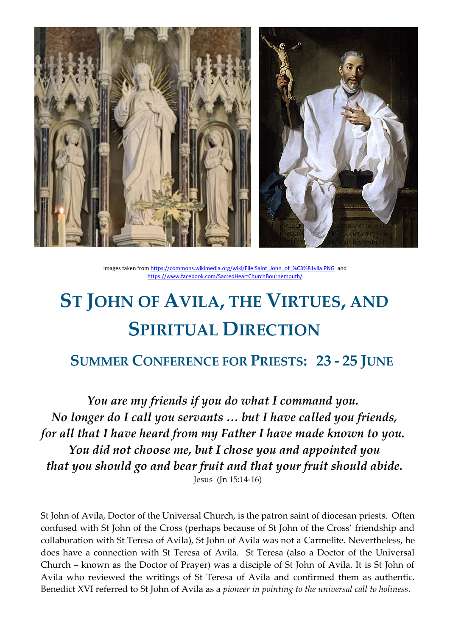

Images taken fro[m https://commons.wikimedia.org/wiki/File:Saint\\_John\\_of\\_%C3%81vila.PNG](https://commons.wikimedia.org/wiki/File:Saint_John_of_%C3%81vila.PNG) and <https://www.facebook.com/SacredHeartChurchBournemouth/>

# **ST JOHN OF AVILA, THE VIRTUES, AND SPIRITUAL DIRECTION**

## **SUMMER CONFERENCE FOR PRIESTS: 23 - 25 JUNE**

*You are my friends if you do what I command you. No longer do I call you servants … but I have called you friends, for all that I have heard from my Father I have made known to you. You did not choose me, but I chose you and appointed you that you should go and bear fruit and that your fruit should abide.*  Jesus (Jn 15:14-16)

St John of Avila, Doctor of the Universal Church, is the patron saint of diocesan priests. Often confused with St John of the Cross (perhaps because of St John of the Cross' friendship and collaboration with St Teresa of Avila), St John of Avila was not a Carmelite. Nevertheless, he does have a connection with St Teresa of Avila. St Teresa (also a Doctor of the Universal Church – known as the Doctor of Prayer) was a disciple of St John of Avila. It is St John of Avila who reviewed the writings of St Teresa of Avila and confirmed them as authentic. Benedict XVI referred to St John of Avila as a *pioneer in pointing to the universal call to holiness*.